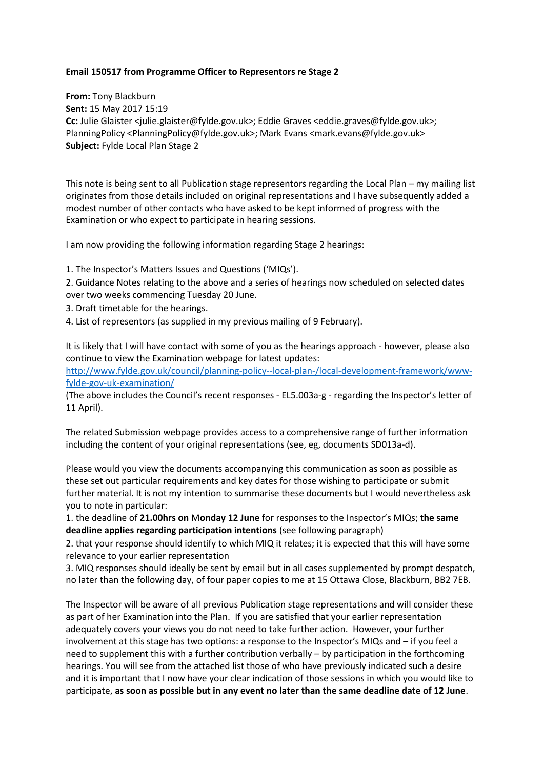## **Email 150517 from Programme Officer to Representors re Stage 2**

**From:** Tony Blackburn **Sent:** 15 May 2017 15:19 **Cc:** Julie Glaister <julie.glaister@fylde.gov.uk>; Eddie Graves <eddie.graves@fylde.gov.uk>; PlanningPolicy <PlanningPolicy@fylde.gov.uk>; Mark Evans <mark.evans@fylde.gov.uk> **Subject:** Fylde Local Plan Stage 2

This note is being sent to all Publication stage representors regarding the Local Plan – my mailing list originates from those details included on original representations and I have subsequently added a modest number of other contacts who have asked to be kept informed of progress with the Examination or who expect to participate in hearing sessions.

I am now providing the following information regarding Stage 2 hearings:

1. The Inspector's Matters Issues and Questions ('MIQs').

2. Guidance Notes relating to the above and a series of hearings now scheduled on selected dates over two weeks commencing Tuesday 20 June.

3. Draft timetable for the hearings.

4. List of representors (as supplied in my previous mailing of 9 February).

It is likely that I will have contact with some of you as the hearings approach - however, please also continue to view the Examination webpage for latest updates:

[http://www.fylde.gov.uk/council/planning-policy--local-plan-/local-development-framework/www](http://www.fylde.gov.uk/council/planning-policy--local-plan-/local-development-framework/www-fylde-gov-uk-examination/)[fylde-gov-uk-examination/](http://www.fylde.gov.uk/council/planning-policy--local-plan-/local-development-framework/www-fylde-gov-uk-examination/)

(The above includes the Council's recent responses - EL5.003a-g - regarding the Inspector's letter of 11 April).

The related Submission webpage provides access to a comprehensive range of further information including the content of your original representations (see, eg, documents SD013a-d).

Please would you view the documents accompanying this communication as soon as possible as these set out particular requirements and key dates for those wishing to participate or submit further material. It is not my intention to summarise these documents but I would nevertheless ask you to note in particular:

1. the deadline of **21.00hrs on** M**onday 12 June** for responses to the Inspector's MIQs; **the same deadline applies regarding participation intentions** (see following paragraph)

2. that your response should identify to which MIQ it relates; it is expected that this will have some relevance to your earlier representation

3. MIQ responses should ideally be sent by email but in all cases supplemented by prompt despatch, no later than the following day, of four paper copies to me at 15 Ottawa Close, Blackburn, BB2 7EB.

The Inspector will be aware of all previous Publication stage representations and will consider these as part of her Examination into the Plan. If you are satisfied that your earlier representation adequately covers your views you do not need to take further action. However, your further involvement at this stage has two options: a response to the Inspector's MIQs and – if you feel a need to supplement this with a further contribution verbally – by participation in the forthcoming hearings. You will see from the attached list those of who have previously indicated such a desire and it is important that I now have your clear indication of those sessions in which you would like to participate, **as soon as possible but in any event no later than the same deadline date of 12 June**.